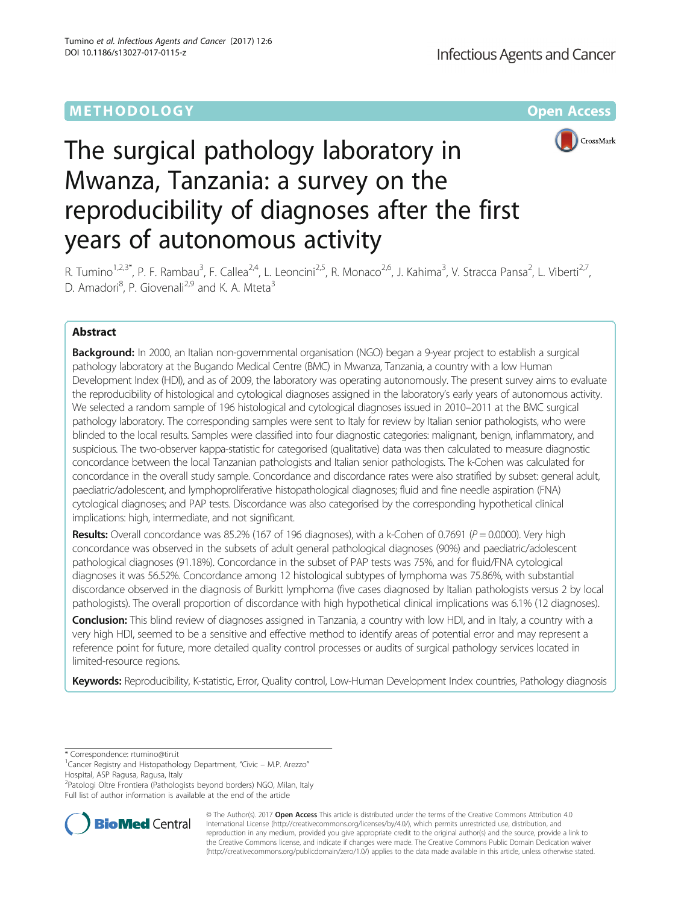# **METHODOLOGY CONSUMING ACCESS**



# The surgical pathology laboratory in Mwanza, Tanzania: a survey on the reproducibility of diagnoses after the first years of autonomous activity

R. Tumino<sup>1,2,3\*</sup>, P. F. Rambau<sup>3</sup>, F. Callea<sup>2,4</sup>, L. Leoncini<sup>2,5</sup>, R. Monaco<sup>2,6</sup>, J. Kahima<sup>3</sup>, V. Stracca Pansa<sup>2</sup>, L. Viberti<sup>2,7</sup>, D. Amadori<sup>8</sup>, P. Giovenali<sup>2,9</sup> and K. A. Mteta<sup>3</sup>

# Abstract

Background: In 2000, an Italian non-governmental organisation (NGO) began a 9-year project to establish a surgical pathology laboratory at the Bugando Medical Centre (BMC) in Mwanza, Tanzania, a country with a low Human Development Index (HDI), and as of 2009, the laboratory was operating autonomously. The present survey aims to evaluate the reproducibility of histological and cytological diagnoses assigned in the laboratory's early years of autonomous activity. We selected a random sample of 196 histological and cytological diagnoses issued in 2010–2011 at the BMC surgical pathology laboratory. The corresponding samples were sent to Italy for review by Italian senior pathologists, who were blinded to the local results. Samples were classified into four diagnostic categories: malignant, benign, inflammatory, and suspicious. The two-observer kappa-statistic for categorised (qualitative) data was then calculated to measure diagnostic concordance between the local Tanzanian pathologists and Italian senior pathologists. The k-Cohen was calculated for concordance in the overall study sample. Concordance and discordance rates were also stratified by subset: general adult, paediatric/adolescent, and lymphoproliferative histopathological diagnoses; fluid and fine needle aspiration (FNA) cytological diagnoses; and PAP tests. Discordance was also categorised by the corresponding hypothetical clinical implications: high, intermediate, and not significant.

**Results:** Overall concordance was 85.2% (167 of 196 diagnoses), with a k-Cohen of 0.7691 ( $P = 0.0000$ ). Very high concordance was observed in the subsets of adult general pathological diagnoses (90%) and paediatric/adolescent pathological diagnoses (91.18%). Concordance in the subset of PAP tests was 75%, and for fluid/FNA cytological diagnoses it was 56.52%. Concordance among 12 histological subtypes of lymphoma was 75.86%, with substantial discordance observed in the diagnosis of Burkitt lymphoma (five cases diagnosed by Italian pathologists versus 2 by local pathologists). The overall proportion of discordance with high hypothetical clinical implications was 6.1% (12 diagnoses).

Conclusion: This blind review of diagnoses assigned in Tanzania, a country with low HDI, and in Italy, a country with a very high HDI, seemed to be a sensitive and effective method to identify areas of potential error and may represent a reference point for future, more detailed quality control processes or audits of surgical pathology services located in limited-resource regions.

Keywords: Reproducibility, K-statistic, Error, Quality control, Low-Human Development Index countries, Pathology diagnosis

\* Correspondence: [rtumino@tin.it](mailto:rtumino@tin.it) <sup>1</sup>

<sup>2</sup>Patologi Oltre Frontiera (Pathologists beyond borders) NGO, Milan, Italy Full list of author information is available at the end of the article



© The Author(s). 2017 **Open Access** This article is distributed under the terms of the Creative Commons Attribution 4.0 International License [\(http://creativecommons.org/licenses/by/4.0/](http://creativecommons.org/licenses/by/4.0/)), which permits unrestricted use, distribution, and reproduction in any medium, provided you give appropriate credit to the original author(s) and the source, provide a link to the Creative Commons license, and indicate if changes were made. The Creative Commons Public Domain Dedication waiver [\(http://creativecommons.org/publicdomain/zero/1.0/](http://creativecommons.org/publicdomain/zero/1.0/)) applies to the data made available in this article, unless otherwise stated.

<sup>&</sup>lt;sup>1</sup> Cancer Registry and Histopathology Department, "Civic - M.P. Arezzo" Hospital, ASP Ragusa, Ragusa, Italy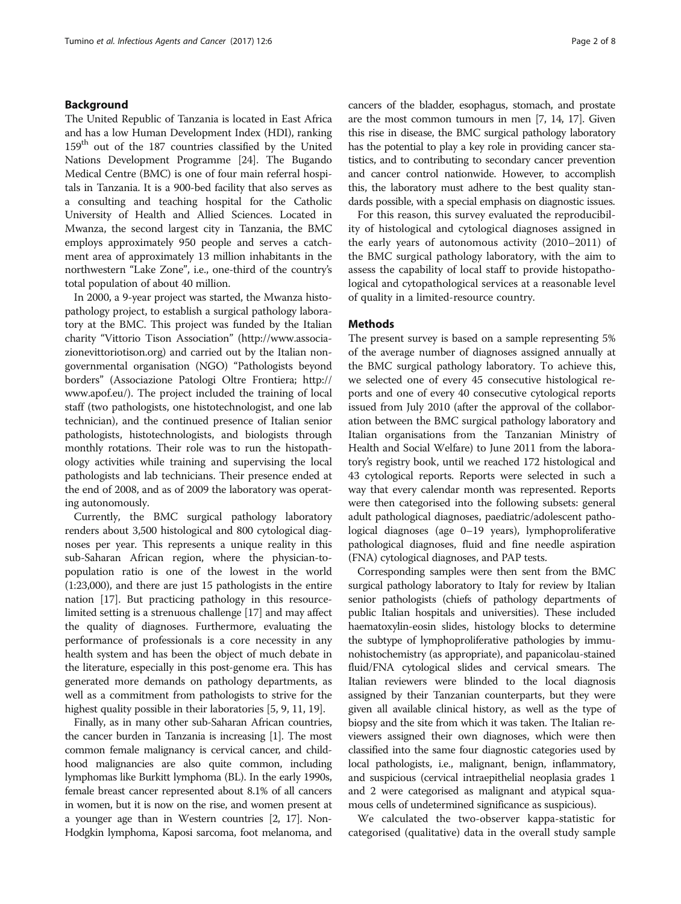# Background

The United Republic of Tanzania is located in East Africa and has a low Human Development Index (HDI), ranking 159<sup>th</sup> out of the 187 countries classified by the United Nations Development Programme [\[24\]](#page-7-0). The Bugando Medical Centre (BMC) is one of four main referral hospitals in Tanzania. It is a 900-bed facility that also serves as a consulting and teaching hospital for the Catholic University of Health and Allied Sciences. Located in Mwanza, the second largest city in Tanzania, the BMC employs approximately 950 people and serves a catchment area of approximately 13 million inhabitants in the northwestern "Lake Zone", i.e., one-third of the country's total population of about 40 million.

In 2000, a 9-year project was started, the Mwanza histopathology project, to establish a surgical pathology laboratory at the BMC. This project was funded by the Italian charity "Vittorio Tison Association" [\(http://www.associa](http://www.associazionevittoriotison.org/)[zionevittoriotison.org](http://www.associazionevittoriotison.org/)) and carried out by the Italian nongovernmental organisation (NGO) "Pathologists beyond borders" (Associazione Patologi Oltre Frontiera; [http://](http://www.apof.eu/) [www.apof.eu/](http://www.apof.eu/)). The project included the training of local staff (two pathologists, one histotechnologist, and one lab technician), and the continued presence of Italian senior pathologists, histotechnologists, and biologists through monthly rotations. Their role was to run the histopathology activities while training and supervising the local pathologists and lab technicians. Their presence ended at the end of 2008, and as of 2009 the laboratory was operating autonomously.

Currently, the BMC surgical pathology laboratory renders about 3,500 histological and 800 cytological diagnoses per year. This represents a unique reality in this sub-Saharan African region, where the physician-topopulation ratio is one of the lowest in the world (1:23,000), and there are just 15 pathologists in the entire nation [[17](#page-7-0)]. But practicing pathology in this resourcelimited setting is a strenuous challenge [[17\]](#page-7-0) and may affect the quality of diagnoses. Furthermore, evaluating the performance of professionals is a core necessity in any health system and has been the object of much debate in the literature, especially in this post-genome era. This has generated more demands on pathology departments, as well as a commitment from pathologists to strive for the highest quality possible in their laboratories [\[5](#page-7-0), [9, 11](#page-7-0), [19](#page-7-0)].

Finally, as in many other sub-Saharan African countries, the cancer burden in Tanzania is increasing [[1](#page-7-0)]. The most common female malignancy is cervical cancer, and childhood malignancies are also quite common, including lymphomas like Burkitt lymphoma (BL). In the early 1990s, female breast cancer represented about 8.1% of all cancers in women, but it is now on the rise, and women present at a younger age than in Western countries [\[2](#page-7-0), [17\]](#page-7-0). Non-Hodgkin lymphoma, Kaposi sarcoma, foot melanoma, and cancers of the bladder, esophagus, stomach, and prostate are the most common tumours in men [\[7](#page-7-0), [14](#page-7-0), [17](#page-7-0)]. Given this rise in disease, the BMC surgical pathology laboratory has the potential to play a key role in providing cancer statistics, and to contributing to secondary cancer prevention and cancer control nationwide. However, to accomplish this, the laboratory must adhere to the best quality standards possible, with a special emphasis on diagnostic issues.

For this reason, this survey evaluated the reproducibility of histological and cytological diagnoses assigned in the early years of autonomous activity (2010–2011) of the BMC surgical pathology laboratory, with the aim to assess the capability of local staff to provide histopathological and cytopathological services at a reasonable level of quality in a limited-resource country.

# Methods

The present survey is based on a sample representing 5% of the average number of diagnoses assigned annually at the BMC surgical pathology laboratory. To achieve this, we selected one of every 45 consecutive histological reports and one of every 40 consecutive cytological reports issued from July 2010 (after the approval of the collaboration between the BMC surgical pathology laboratory and Italian organisations from the Tanzanian Ministry of Health and Social Welfare) to June 2011 from the laboratory's registry book, until we reached 172 histological and 43 cytological reports. Reports were selected in such a way that every calendar month was represented. Reports were then categorised into the following subsets: general adult pathological diagnoses, paediatric/adolescent pathological diagnoses (age 0–19 years), lymphoproliferative pathological diagnoses, fluid and fine needle aspiration (FNA) cytological diagnoses, and PAP tests.

Corresponding samples were then sent from the BMC surgical pathology laboratory to Italy for review by Italian senior pathologists (chiefs of pathology departments of public Italian hospitals and universities). These included haematoxylin-eosin slides, histology blocks to determine the subtype of lymphoproliferative pathologies by immunohistochemistry (as appropriate), and papanicolau-stained fluid/FNA cytological slides and cervical smears. The Italian reviewers were blinded to the local diagnosis assigned by their Tanzanian counterparts, but they were given all available clinical history, as well as the type of biopsy and the site from which it was taken. The Italian reviewers assigned their own diagnoses, which were then classified into the same four diagnostic categories used by local pathologists, i.e., malignant, benign, inflammatory, and suspicious (cervical intraepithelial neoplasia grades 1 and 2 were categorised as malignant and atypical squamous cells of undetermined significance as suspicious).

We calculated the two-observer kappa-statistic for categorised (qualitative) data in the overall study sample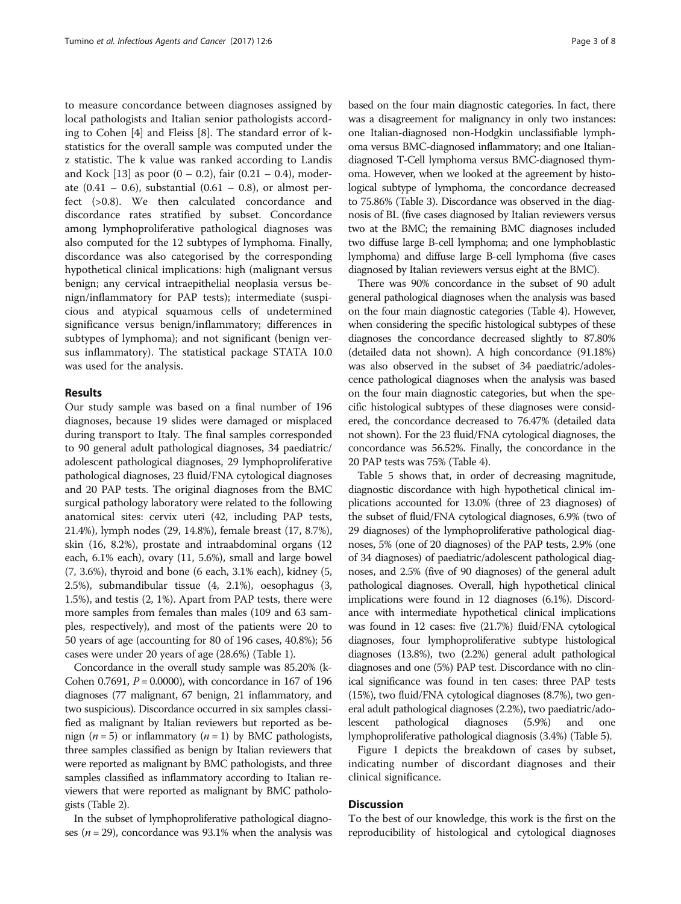to measure concordance between diagnoses assigned by local pathologists and Italian senior pathologists according to Cohen [[4](#page-7-0)] and Fleiss [[8\]](#page-7-0). The standard error of kstatistics for the overall sample was computed under the z statistic. The k value was ranked according to Landis and Kock [[13\]](#page-7-0) as poor  $(0 - 0.2)$ , fair  $(0.21 - 0.4)$ , moderate  $(0.41 - 0.6)$ , substantial  $(0.61 - 0.8)$ , or almost perfect (>0.8). We then calculated concordance and discordance rates stratified by subset. Concordance among lymphoproliferative pathological diagnoses was also computed for the 12 subtypes of lymphoma. Finally, discordance was also categorised by the corresponding hypothetical clinical implications: high (malignant versus benign; any cervical intraepithelial neoplasia versus benign/inflammatory for PAP tests); intermediate (suspicious and atypical squamous cells of undetermined significance versus benign/inflammatory; differences in subtypes of lymphoma); and not significant (benign versus inflammatory). The statistical package STATA 10.0 was used for the analysis.

# Results

Our study sample was based on a final number of 196 diagnoses, because 19 slides were damaged or misplaced during transport to Italy. The final samples corresponded to 90 general adult pathological diagnoses, 34 paediatric/ adolescent pathological diagnoses, 29 lymphoproliferative pathological diagnoses, 23 fluid/FNA cytological diagnoses and 20 PAP tests. The original diagnoses from the BMC surgical pathology laboratory were related to the following anatomical sites: cervix uteri (42, including PAP tests, 21.4%), lymph nodes (29, 14.8%), female breast (17, 8.7%), skin (16, 8.2%), prostate and intraabdominal organs (12 each, 6.1% each), ovary (11, 5.6%), small and large bowel (7, 3.6%), thyroid and bone (6 each, 3.1% each), kidney (5, 2.5%), submandibular tissue (4, 2.1%), oesophagus (3, 1.5%), and testis (2, 1%). Apart from PAP tests, there were more samples from females than males (109 and 63 samples, respectively), and most of the patients were 20 to 50 years of age (accounting for 80 of 196 cases, 40.8%); 56 cases were under 20 years of age (28.6%) (Table [1](#page-3-0)).

Concordance in the overall study sample was 85.20% (k-Cohen 0.7691,  $P = 0.0000$ , with concordance in 167 of 196 diagnoses (77 malignant, 67 benign, 21 inflammatory, and two suspicious). Discordance occurred in six samples classified as malignant by Italian reviewers but reported as benign ( $n = 5$ ) or inflammatory ( $n = 1$ ) by BMC pathologists, three samples classified as benign by Italian reviewers that were reported as malignant by BMC pathologists, and three samples classified as inflammatory according to Italian reviewers that were reported as malignant by BMC pathologists (Table [2](#page-3-0)).

In the subset of lymphoproliferative pathological diagnoses ( $n = 29$ ), concordance was 93.1% when the analysis was based on the four main diagnostic categories. In fact, there was a disagreement for malignancy in only two instances: one Italian-diagnosed non-Hodgkin unclassifiable lymphoma versus BMC-diagnosed inflammatory; and one Italiandiagnosed T-Cell lymphoma versus BMC-diagnosed thymoma. However, when we looked at the agreement by histological subtype of lymphoma, the concordance decreased to 75.86% (Table [3](#page-4-0)). Discordance was observed in the diagnosis of BL (five cases diagnosed by Italian reviewers versus two at the BMC; the remaining BMC diagnoses included two diffuse large B-cell lymphoma; and one lymphoblastic lymphoma) and diffuse large B-cell lymphoma (five cases diagnosed by Italian reviewers versus eight at the BMC).

There was 90% concordance in the subset of 90 adult general pathological diagnoses when the analysis was based on the four main diagnostic categories (Table [4\)](#page-4-0). However, when considering the specific histological subtypes of these diagnoses the concordance decreased slightly to 87.80% (detailed data not shown). A high concordance (91.18%) was also observed in the subset of 34 paediatric/adolescence pathological diagnoses when the analysis was based on the four main diagnostic categories, but when the specific histological subtypes of these diagnoses were considered, the concordance decreased to 76.47% (detailed data not shown). For the 23 fluid/FNA cytological diagnoses, the concordance was 56.52%. Finally, the concordance in the 20 PAP tests was 75% (Table [4](#page-4-0)).

Table [5](#page-5-0) shows that, in order of decreasing magnitude, diagnostic discordance with high hypothetical clinical implications accounted for 13.0% (three of 23 diagnoses) of the subset of fluid/FNA cytological diagnoses, 6.9% (two of 29 diagnoses) of the lymphoproliferative pathological diagnoses, 5% (one of 20 diagnoses) of the PAP tests, 2.9% (one of 34 diagnoses) of paediatric/adolescent pathological diagnoses, and 2.5% (five of 90 diagnoses) of the general adult pathological diagnoses. Overall, high hypothetical clinical implications were found in 12 diagnoses (6.1%). Discordance with intermediate hypothetical clinical implications was found in 12 cases: five (21.7%) fluid/FNA cytological diagnoses, four lymphoproliferative subtype histological diagnoses (13.8%), two (2.2%) general adult pathological diagnoses and one (5%) PAP test. Discordance with no clinical significance was found in ten cases: three PAP tests (15%), two fluid/FNA cytological diagnoses (8.7%), two general adult pathological diagnoses (2.2%), two paediatric/adolescent pathological diagnoses (5.9%) and one lymphoproliferative pathological diagnosis (3.4%) (Table [5](#page-5-0)).

Figure [1](#page-5-0) depicts the breakdown of cases by subset, indicating number of discordant diagnoses and their clinical significance.

# **Discussion**

To the best of our knowledge, this work is the first on the reproducibility of histological and cytological diagnoses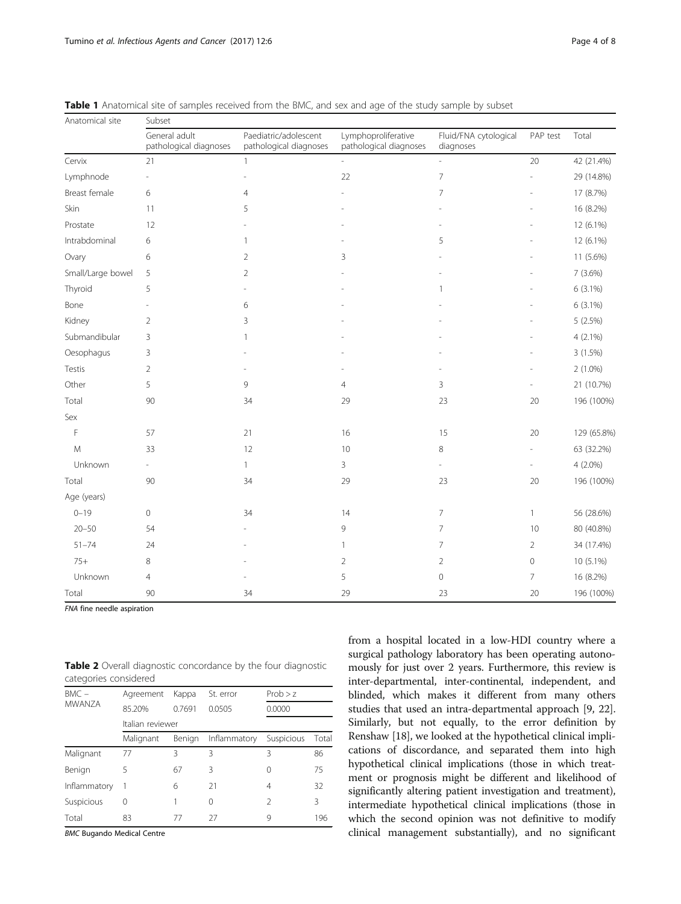| Anatomical site   | Subset                                  |                                                 |                                               |                                    |                |             |  |  |  |
|-------------------|-----------------------------------------|-------------------------------------------------|-----------------------------------------------|------------------------------------|----------------|-------------|--|--|--|
|                   | General adult<br>pathological diagnoses | Paediatric/adolescent<br>pathological diagnoses | Lymphoproliferative<br>pathological diagnoses | Fluid/FNA cytological<br>diagnoses | PAP test       | Total       |  |  |  |
| Cervix            | 21                                      | $\mathbf{1}$                                    |                                               |                                    | 20             | 42 (21.4%)  |  |  |  |
| Lymphnode         | $\frac{1}{2}$                           | i,                                              | 22                                            | $\overline{7}$                     | L,             | 29 (14.8%)  |  |  |  |
| Breast female     | 6                                       | $\overline{4}$                                  |                                               | 7                                  |                | 17 (8.7%)   |  |  |  |
| Skin              | 11                                      | 5                                               |                                               |                                    |                | 16 (8.2%)   |  |  |  |
| Prostate          | 12                                      |                                                 |                                               |                                    |                | 12 (6.1%)   |  |  |  |
| Intrabdominal     | 6                                       | $\mathbf{1}$                                    |                                               | 5                                  |                | 12 (6.1%)   |  |  |  |
| Ovary             | 6                                       | $\overline{2}$                                  | 3                                             |                                    |                | 11 (5.6%)   |  |  |  |
| Small/Large bowel | 5                                       | $\overline{2}$                                  |                                               |                                    |                | 7 (3.6%)    |  |  |  |
| Thyroid           | 5                                       |                                                 |                                               | 1                                  |                | 6 (3.1%)    |  |  |  |
| Bone              |                                         | 6                                               |                                               |                                    |                | $6(3.1\%)$  |  |  |  |
| Kidney            | $\overline{2}$                          | 3                                               |                                               |                                    |                | 5 (2.5%)    |  |  |  |
| Submandibular     | 3                                       | $\mathbf{1}$                                    |                                               |                                    |                | 4 (2.1%)    |  |  |  |
| Oesophagus        | 3                                       |                                                 |                                               |                                    |                | 3(1.5%)     |  |  |  |
| Testis            | $\overline{2}$                          |                                                 |                                               |                                    |                | $2(1.0\%)$  |  |  |  |
| Other             | 5                                       | 9                                               | 4                                             | 3                                  | $\overline{a}$ | 21 (10.7%)  |  |  |  |
| Total             | 90                                      | 34                                              | 29                                            | 23                                 | 20             | 196 (100%)  |  |  |  |
| Sex               |                                         |                                                 |                                               |                                    |                |             |  |  |  |
| F                 | 57                                      | 21                                              | 16                                            | 15                                 | 20             | 129 (65.8%) |  |  |  |
| M                 | 33                                      | 12                                              | 10                                            | 8                                  |                | 63 (32.2%)  |  |  |  |
| Unknown           | L,                                      | $\mathbf{1}$                                    | 3                                             |                                    | $\frac{1}{2}$  | $4(2.0\%)$  |  |  |  |
| Total             | 90                                      | 34                                              | 29                                            | 23                                 | 20             | 196 (100%)  |  |  |  |
| Age (years)       |                                         |                                                 |                                               |                                    |                |             |  |  |  |
| $0 - 19$          | 0                                       | 34                                              | 14                                            | 7                                  | 1              | 56 (28.6%)  |  |  |  |
| $20 - 50$         | 54                                      |                                                 | 9                                             | 7                                  | 10             | 80 (40.8%)  |  |  |  |
| $51 - 74$         | 24                                      |                                                 | $\mathbf{1}$                                  | $\overline{7}$                     | $\overline{2}$ | 34 (17.4%)  |  |  |  |
| $75+$             | 8                                       |                                                 | $\overline{2}$                                | $\overline{2}$                     | $\mathbf 0$    | 10 (5.1%)   |  |  |  |
| Unknown           | $\overline{4}$                          |                                                 | 5                                             | 0                                  | 7              | 16 (8.2%)   |  |  |  |
| Total             | 90                                      | 34                                              | 29                                            | 23                                 | 20             | 196 (100%)  |  |  |  |

<span id="page-3-0"></span>Table 1 Anatomical site of samples received from the BMC, and sex and age of the study sample by subset

FNA fine needle aspiration

Table 2 Overall diagnostic concordance by the four diagnostic categories considered

| $BMC -$       | Agreement        | Kappa  | St. error    | Prob > z      |       |  |  |  |
|---------------|------------------|--------|--------------|---------------|-------|--|--|--|
| <b>MWANZA</b> | 85.20%           | 0.7691 | 0.0505       | 0.0000        |       |  |  |  |
|               | Italian reviewer |        |              |               |       |  |  |  |
|               | Malignant        | Benign | Inflammatory | Suspicious    | Total |  |  |  |
| Malignant     | 77               | 3      | 3            | 3             | 86    |  |  |  |
| Benign        | 5                | 67     | 3            | 0             | 75    |  |  |  |
| Inflammatory  |                  | 6      | 21           | 4             | 32    |  |  |  |
| Suspicious    | 0                |        | 0            | $\mathcal{P}$ | 3     |  |  |  |
| Total         | 83               | 77     | 27           | 9             | 196   |  |  |  |

BMC Bugando Medical Centre

from a hospital located in a low-HDI country where a surgical pathology laboratory has been operating autonomously for just over 2 years. Furthermore, this review is inter-departmental, inter-continental, independent, and blinded, which makes it different from many others studies that used an intra-departmental approach [\[9](#page-7-0), [22](#page-7-0)]. Similarly, but not equally, to the error definition by Renshaw [\[18\]](#page-7-0), we looked at the hypothetical clinical implications of discordance, and separated them into high hypothetical clinical implications (those in which treatment or prognosis might be different and likelihood of significantly altering patient investigation and treatment), intermediate hypothetical clinical implications (those in which the second opinion was not definitive to modify clinical management substantially), and no significant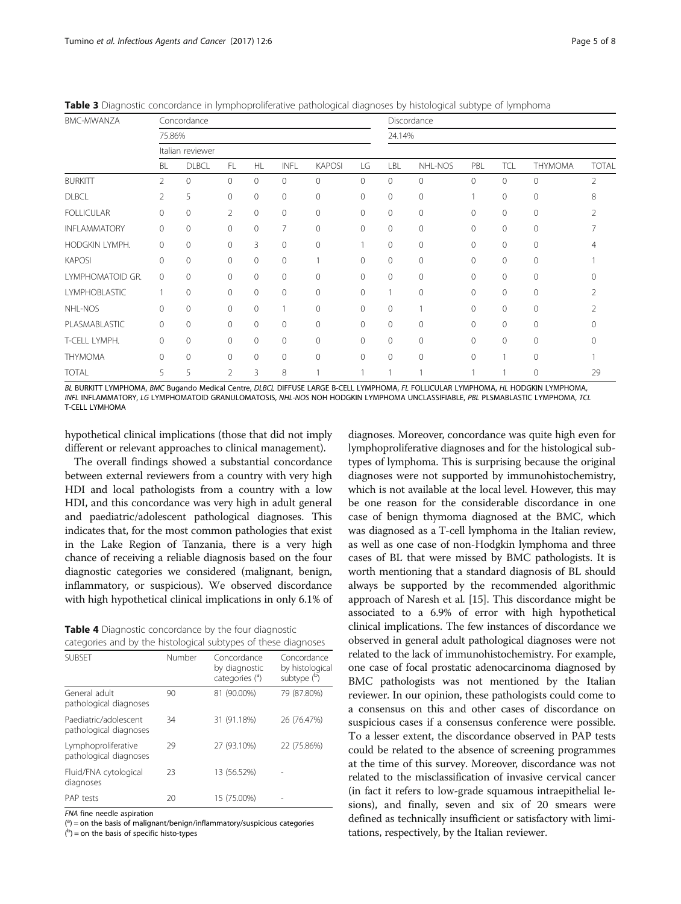<span id="page-4-0"></span>

| Table 3 Diagnostic concordance in lymphoproliferative pathological diagnoses by histological subtype of lymphoma |                                           |              |                |          |          |          |                       |              |              |              |              |               |              |
|------------------------------------------------------------------------------------------------------------------|-------------------------------------------|--------------|----------------|----------|----------|----------|-----------------------|--------------|--------------|--------------|--------------|---------------|--------------|
| <b>BMC-MWANZA</b>                                                                                                | Concordance<br>75.86%<br>Italian reviewer |              |                |          |          |          | Discordance<br>24.14% |              |              |              |              |               |              |
|                                                                                                                  |                                           |              |                |          |          |          |                       |              |              |              |              |               |              |
|                                                                                                                  |                                           |              |                |          |          |          | BL                    | <b>DLBCL</b> | <b>FL</b>    | HL           | <b>INFL</b>  | <b>KAPOSI</b> | LG           |
|                                                                                                                  | <b>BURKITT</b>                            |              | $\circ$        | $\Omega$ | $\Omega$ | 0        | $\Omega$              | $\mathbf 0$  | $\mathbf{0}$ | $\Omega$     | $\mathbf{0}$ | 0             | $\mathbf{0}$ |
| <b>DLBCL</b>                                                                                                     |                                           | 5            | 0              | $\Omega$ | 0        | $\Omega$ | $\mathbf{0}$          | $\mathbf{0}$ | $\Omega$     |              | $\circ$      | $\mathbf{0}$  | 8            |
| <b>FOLLICULAR</b>                                                                                                | $\Omega$                                  | $\mathbf{0}$ | $\mathfrak{D}$ | $\Omega$ | $\Omega$ | $\Omega$ | $\Omega$              | $\mathbf{0}$ | $\Omega$     | $\mathbf{0}$ | $\circ$      | $\Omega$      |              |
| <b>INFLAMMATORY</b>                                                                                              | $\Omega$                                  | $\mathbf{0}$ | $\Omega$       | $\Omega$ | 7        | $\Omega$ | $\Omega$              | $\Omega$     | $\Omega$     | $\mathbf{0}$ | $\circ$      | $\Omega$      |              |
| HODGKIN LYMPH.                                                                                                   | $\Omega$                                  | $\mathbf{0}$ | $\Omega$       | ζ        | $\Omega$ | $\Omega$ |                       | $\Omega$     | $\Omega$     | $\mathbf{0}$ | $\circ$      | $\Omega$      | 4            |
| <b>KAPOSI</b>                                                                                                    | $\Omega$                                  | $\mathbf{0}$ | $\Omega$       | $\Omega$ | $\Omega$ |          | $\Omega$              | $\Omega$     | $\Omega$     | $\mathbf{0}$ | $\circ$      | $\Omega$      |              |
| LYMPHOMATOID GR.                                                                                                 | $\mathbf{0}$                              | $\mathbf{0}$ | $\Omega$       | $\Omega$ | $\Omega$ | $\Omega$ | $\Omega$              | $\mathbf{0}$ | $\Omega$     | $\mathbf{0}$ | $\circ$      | $\mathbf{0}$  |              |
| <b>LYMPHOBLASTIC</b>                                                                                             |                                           | $\mathbf 0$  |                |          | 0        | 0        | 0                     |              | 0            | $\mathbf{0}$ | $\mathbf 0$  | $\mathbf{0}$  |              |

Table 3 Diagnostic concordance in lymphoproliferative pathological diagnoses by histological subtype of lymphoma

BL BURKITT LYMPHOMA, BMC Bugando Medical Centre, DLBCL DIFFUSE LARGE B-CELL LYMPHOMA, FL FOLLICULAR LYMPHOMA, HL HODGKIN LYMPHOMA, INFL INFLAMMATORY, LG LYMPHOMATOID GRANULOMATOSIS, NHL-NOS NOH HODGKIN LYMPHOMA UNCLASSIFIABLE, PBL PLSMABLASTIC LYMPHOMA, TCL T-CELL LYMHOMA

NHL-NOS 0 0 0 0 1 0 0 0 0 0 0 0 0 0 2 PLASMABLASTIC 0 0 0 0 0 0 0 0 0 0 0 0 0 T-CELL LYMPH. 0 0 0 0 0 0 0 0 0 0 0 0 0 THYMOMA 0 0 0 0 0 0 0 0 0 0 1 0 1 TOTAL 5 5 2 3 8 1 1 1 1 1 1 0 29

hypothetical clinical implications (those that did not imply different or relevant approaches to clinical management).

The overall findings showed a substantial concordance between external reviewers from a country with very high HDI and local pathologists from a country with a low HDI, and this concordance was very high in adult general and paediatric/adolescent pathological diagnoses. This indicates that, for the most common pathologies that exist in the Lake Region of Tanzania, there is a very high chance of receiving a reliable diagnosis based on the four diagnostic categories we considered (malignant, benign, inflammatory, or suspicious). We observed discordance with high hypothetical clinical implications in only 6.1% of

Table 4 Diagnostic concordance by the four diagnostic categories and by the histological subtypes of these diagnoses

| .                                               |        |                                                          |                                                    |  |  |  |  |  |
|-------------------------------------------------|--------|----------------------------------------------------------|----------------------------------------------------|--|--|--|--|--|
| <b>SUBSET</b>                                   | Number | Concordance<br>by diagnostic<br>categories $(^\text{a})$ | Concordance<br>by histological<br>subtype $(^{b})$ |  |  |  |  |  |
| General adult<br>pathological diagnoses         | 90     | 81 (90.00%)                                              | 79 (87.80%)                                        |  |  |  |  |  |
| Paediatric/adolescent<br>pathological diagnoses | 34     | 31 (91.18%)                                              | 26 (76.47%)                                        |  |  |  |  |  |
| Lymphoproliferative<br>pathological diagnoses   | 29     | 27 (93.10%)                                              | 22 (75.86%)                                        |  |  |  |  |  |
| Fluid/FNA cytological<br>diagnoses              | 23     | 13 (56.52%)                                              |                                                    |  |  |  |  |  |
| PAP tests                                       | 20     | 15 (75.00%)                                              |                                                    |  |  |  |  |  |

FNA fine needle aspiration

 $(3)$  = on the basis of malignant/benign/inflammatory/suspicious categories  $(b)$  = on the basis of specific histo-types

lymphoproliferative diagnoses and for the histological subtypes of lymphoma. This is surprising because the original diagnoses were not supported by immunohistochemistry, which is not available at the local level. However, this may be one reason for the considerable discordance in one case of benign thymoma diagnosed at the BMC, which was diagnosed as a T-cell lymphoma in the Italian review, as well as one case of non-Hodgkin lymphoma and three cases of BL that were missed by BMC pathologists. It is worth mentioning that a standard diagnosis of BL should always be supported by the recommended algorithmic approach of Naresh et al. [\[15\]](#page-7-0). This discordance might be associated to a 6.9% of error with high hypothetical clinical implications. The few instances of discordance we observed in general adult pathological diagnoses were not related to the lack of immunohistochemistry. For example, one case of focal prostatic adenocarcinoma diagnosed by BMC pathologists was not mentioned by the Italian reviewer. In our opinion, these pathologists could come to a consensus on this and other cases of discordance on suspicious cases if a consensus conference were possible. To a lesser extent, the discordance observed in PAP tests could be related to the absence of screening programmes at the time of this survey. Moreover, discordance was not related to the misclassification of invasive cervical cancer (in fact it refers to low-grade squamous intraepithelial lesions), and finally, seven and six of 20 smears were defined as technically insufficient or satisfactory with limitations, respectively, by the Italian reviewer.

diagnoses. Moreover, concordance was quite high even for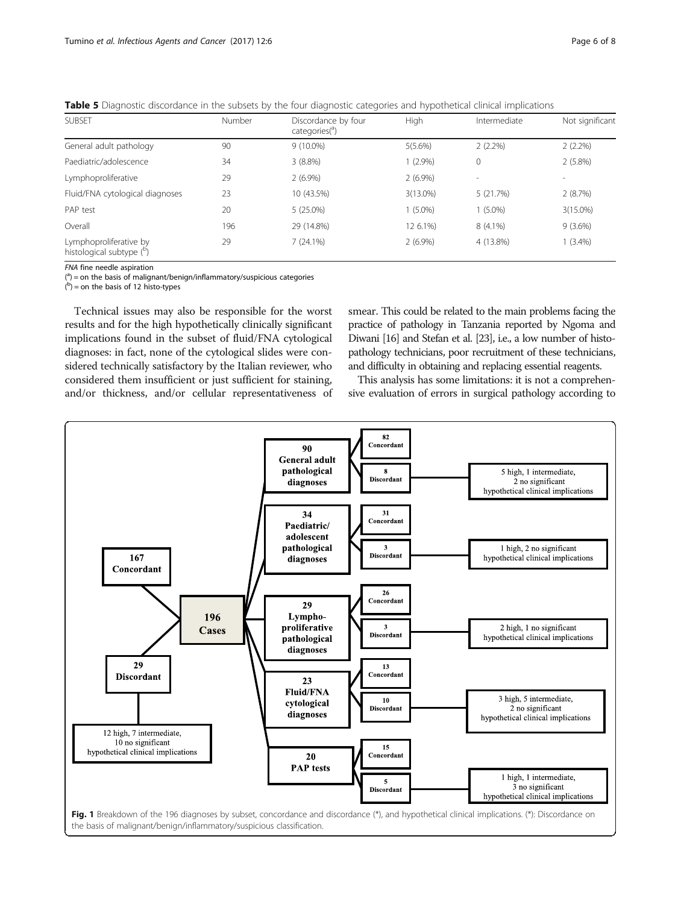| <b>SUBSET</b>                                                   | Number | Discordance by four<br>$categoricald$ ) | High        | Intermediate             | Not significant |
|-----------------------------------------------------------------|--------|-----------------------------------------|-------------|--------------------------|-----------------|
| General adult pathology                                         | 90     | $9(10.0\%)$                             | $5(5.6\%)$  | 2(2.2%)                  | $2(2.2\%)$      |
| Paediatric/adolescence                                          | 34     | $3(8.8\%)$                              | (2.9%)      | $\circ$                  | $2(5.8\%)$      |
| Lymphoproliferative                                             | 29     | $2(6.9\%)$                              | $2(6.9\%)$  | $\overline{\phantom{a}}$ | $\sim$          |
| Fluid/FNA cytological diagnoses                                 | 23     | 10 (43.5%)                              | $3(13.0\%)$ | 5(21.7%)                 | 2(8.7%)         |
| PAP test                                                        | 20     | $5(25.0\%)$                             | $(5.0\%)$   | $1(5.0\%)$               | $3(15.0\%)$     |
| Overall                                                         | 196    | 29 (14.8%)                              | 12 6.1%)    | $8(4.1\%)$               | 9(3.6%)         |
| Lymphoproliferative by<br>histological subtype ( <sup>b</sup> ) | 29     | $7(24.1\%)$                             | $2(6.9\%)$  | 4 (13.8%)                | $(3.4\%)$       |

<span id="page-5-0"></span>Table 5 Diagnostic discordance in the subsets by the four diagnostic categories and hypothetical clinical implications

FNA fine needle aspiration

 $(3)$  = on the basis of malignant/benign/inflammatory/suspicious categories

 $(b)$  = on the basis of 12 histo-types

Technical issues may also be responsible for the worst results and for the high hypothetically clinically significant implications found in the subset of fluid/FNA cytological diagnoses: in fact, none of the cytological slides were considered technically satisfactory by the Italian reviewer, who considered them insufficient or just sufficient for staining, and/or thickness, and/or cellular representativeness of smear. This could be related to the main problems facing the practice of pathology in Tanzania reported by Ngoma and Diwani [\[16\]](#page-7-0) and Stefan et al. [\[23](#page-7-0)], i.e., a low number of histopathology technicians, poor recruitment of these technicians, and difficulty in obtaining and replacing essential reagents.

This analysis has some limitations: it is not a comprehensive evaluation of errors in surgical pathology according to

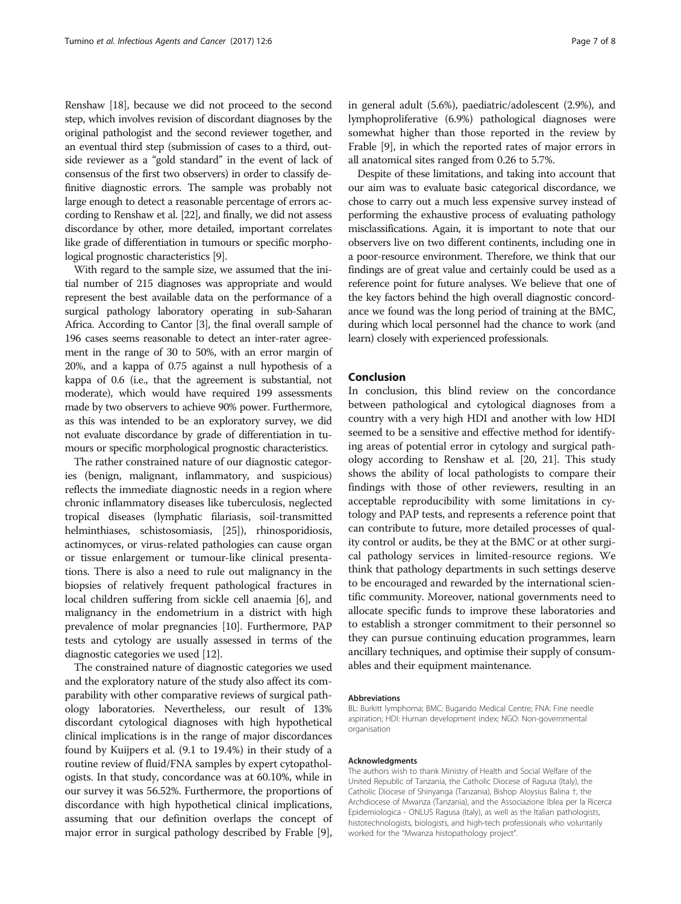Renshaw [[18](#page-7-0)], because we did not proceed to the second step, which involves revision of discordant diagnoses by the original pathologist and the second reviewer together, and an eventual third step (submission of cases to a third, outside reviewer as a "gold standard" in the event of lack of consensus of the first two observers) in order to classify definitive diagnostic errors. The sample was probably not large enough to detect a reasonable percentage of errors according to Renshaw et al. [\[22\]](#page-7-0), and finally, we did not assess discordance by other, more detailed, important correlates like grade of differentiation in tumours or specific morphological prognostic characteristics [\[9\]](#page-7-0).

With regard to the sample size, we assumed that the initial number of 215 diagnoses was appropriate and would represent the best available data on the performance of a surgical pathology laboratory operating in sub-Saharan Africa. According to Cantor [\[3](#page-7-0)], the final overall sample of 196 cases seems reasonable to detect an inter-rater agreement in the range of 30 to 50%, with an error margin of 20%, and a kappa of 0.75 against a null hypothesis of a kappa of 0.6 (i.e., that the agreement is substantial, not moderate), which would have required 199 assessments made by two observers to achieve 90% power. Furthermore, as this was intended to be an exploratory survey, we did not evaluate discordance by grade of differentiation in tumours or specific morphological prognostic characteristics.

The rather constrained nature of our diagnostic categories (benign, malignant, inflammatory, and suspicious) reflects the immediate diagnostic needs in a region where chronic inflammatory diseases like tuberculosis, neglected tropical diseases (lymphatic filariasis, soil-transmitted helminthiases, schistosomiasis, [[25](#page-7-0)]), rhinosporidiosis, actinomyces, or virus-related pathologies can cause organ or tissue enlargement or tumour-like clinical presentations. There is also a need to rule out malignancy in the biopsies of relatively frequent pathological fractures in local children suffering from sickle cell anaemia [[6\]](#page-7-0), and malignancy in the endometrium in a district with high prevalence of molar pregnancies [\[10\]](#page-7-0). Furthermore, PAP tests and cytology are usually assessed in terms of the diagnostic categories we used [[12\]](#page-7-0).

The constrained nature of diagnostic categories we used and the exploratory nature of the study also affect its comparability with other comparative reviews of surgical pathology laboratories. Nevertheless, our result of 13% discordant cytological diagnoses with high hypothetical clinical implications is in the range of major discordances found by Kuijpers et al. (9.1 to 19.4%) in their study of a routine review of fluid/FNA samples by expert cytopathologists. In that study, concordance was at 60.10%, while in our survey it was 56.52%. Furthermore, the proportions of discordance with high hypothetical clinical implications, assuming that our definition overlaps the concept of major error in surgical pathology described by Frable [[9](#page-7-0)],

in general adult (5.6%), paediatric/adolescent (2.9%), and lymphoproliferative (6.9%) pathological diagnoses were somewhat higher than those reported in the review by Frable [\[9\]](#page-7-0), in which the reported rates of major errors in all anatomical sites ranged from 0.26 to 5.7%.

Despite of these limitations, and taking into account that our aim was to evaluate basic categorical discordance, we chose to carry out a much less expensive survey instead of performing the exhaustive process of evaluating pathology misclassifications. Again, it is important to note that our observers live on two different continents, including one in a poor-resource environment. Therefore, we think that our findings are of great value and certainly could be used as a reference point for future analyses. We believe that one of the key factors behind the high overall diagnostic concordance we found was the long period of training at the BMC, during which local personnel had the chance to work (and learn) closely with experienced professionals.

# Conclusion

In conclusion, this blind review on the concordance between pathological and cytological diagnoses from a country with a very high HDI and another with low HDI seemed to be a sensitive and effective method for identifying areas of potential error in cytology and surgical pathology according to Renshaw et al. [\[20, 21](#page-7-0)]. This study shows the ability of local pathologists to compare their findings with those of other reviewers, resulting in an acceptable reproducibility with some limitations in cytology and PAP tests, and represents a reference point that can contribute to future, more detailed processes of quality control or audits, be they at the BMC or at other surgical pathology services in limited-resource regions. We think that pathology departments in such settings deserve to be encouraged and rewarded by the international scientific community. Moreover, national governments need to allocate specific funds to improve these laboratories and to establish a stronger commitment to their personnel so they can pursue continuing education programmes, learn ancillary techniques, and optimise their supply of consumables and their equipment maintenance.

#### Abbreviations

BL: Burkitt lymphoma; BMC: Bugando Medical Centre; FNA: Fine needle aspiration; HDI: Human development index; NGO: Non-governmental organisation

#### Acknowledgments

The authors wish to thank Ministry of Health and Social Welfare of the United Republic of Tanzania, the Catholic Diocese of Ragusa (Italy), the Catholic Diocese of Shinyanga (Tanzania), Bishop Aloysius Balina †, the Archdiocese of Mwanza (Tanzania), and the Associazione Iblea per la Ricerca Epidemiologica - ONLUS Ragusa (Italy), as well as the Italian pathologists, histotechnologists, biologists, and high-tech professionals who voluntarily worked for the "Mwanza histopathology project".